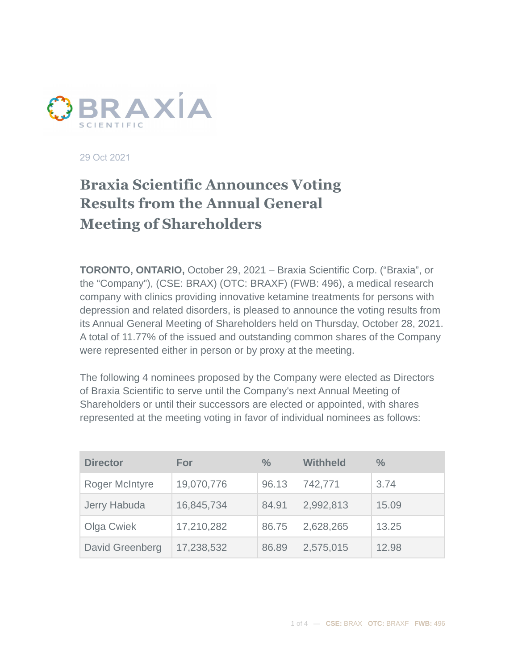

29 Oct 2021

## **Braxia Scientific Announces Voting Results from the Annual General Meeting of Shareholders**

**TORONTO, ONTARIO,** October 29, 2021 – Braxia Scientific Corp. ("Braxia", or the "Company"), (CSE: BRAX) (OTC: BRAXF) (FWB: 496), a medical research company with clinics providing innovative ketamine treatments for persons with depression and related disorders, is pleased to announce the voting results from its Annual General Meeting of Shareholders held on Thursday, October 28, 2021. A total of 11.77% of the issued and outstanding common shares of the Company were represented either in person or by proxy at the meeting.

The following 4 nominees proposed by the Company were elected as Directors of Braxia Scientific to serve until the Company's next Annual Meeting of Shareholders or until their successors are elected or appointed, with shares represented at the meeting voting in favor of individual nominees as follows:

| <b>Director</b> | For        | $\%$  | <b>Withheld</b> | $\%$  |
|-----------------|------------|-------|-----------------|-------|
| Roger McIntyre  | 19,070,776 | 96.13 | 742,771         | 3.74  |
| Jerry Habuda    | 16,845,734 | 84.91 | 2,992,813       | 15.09 |
| Olga Cwiek      | 17,210,282 | 86.75 | 2,628,265       | 13.25 |
| David Greenberg | 17,238,532 | 86.89 | 2,575,015       | 12.98 |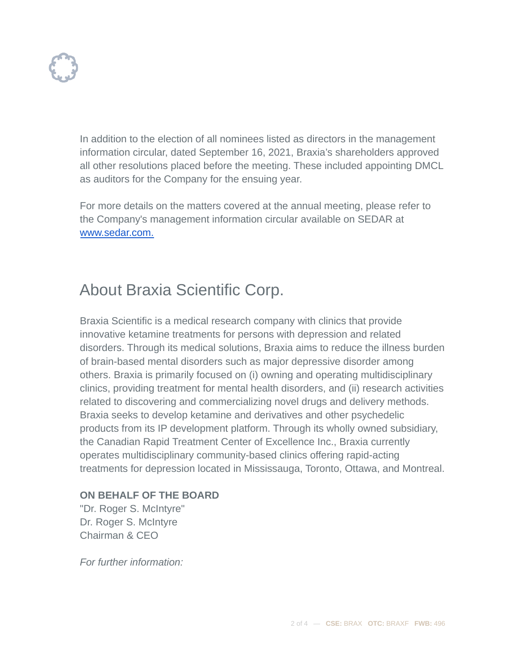In addition to the election of all nominees listed as directors in the management information circular, dated September 16, 2021, Braxia's shareholders approved all other resolutions placed before the meeting. These included appointing DMCL as auditors for the Company for the ensuing year.

For more details on the matters covered at the annual meeting, please refer to the Company's management information circular available on SEDAR at [www.sedar.com.](http://www.sedar.com.)

# About Braxia Scientific Corp.

Braxia Scientific is a medical research company with clinics that provide innovative ketamine treatments for persons with depression and related disorders. Through its medical solutions, Braxia aims to reduce the illness burden of brain-based mental disorders such as major depressive disorder among others. Braxia is primarily focused on (i) owning and operating multidisciplinary clinics, providing treatment for mental health disorders, and (ii) research activities related to discovering and commercializing novel drugs and delivery methods. Braxia seeks to develop ketamine and derivatives and other psychedelic products from its IP development platform. Through its wholly owned subsidiary, the Canadian Rapid Treatment Center of Excellence Inc., Braxia currently operates multidisciplinary community-based clinics offering rapid-acting treatments for depression located in Mississauga, Toronto, Ottawa, and Montreal.

### **ON BEHALF OF THE BOARD**

"Dr. Roger S. McIntyre" Dr. Roger S. McIntyre Chairman & CEO

*For further information:*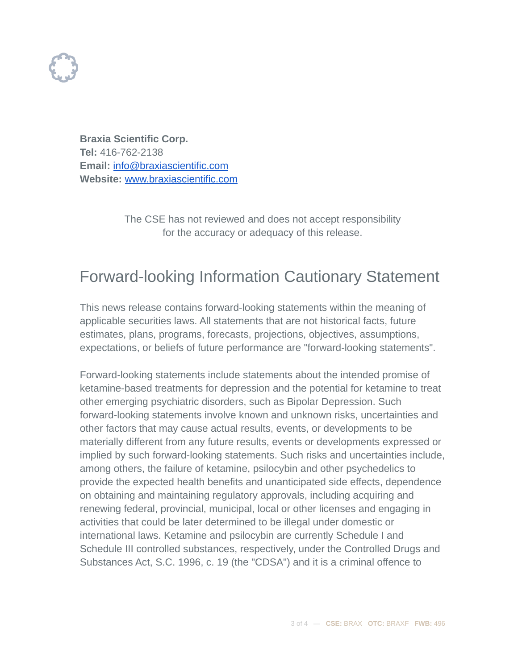

**Braxia Scientific Corp. Tel:** 416-762-2138 **Email:** [info@braxiascientific.com](mailto:info@braxiascientific.com) **Website:** [www.braxiascientific.com](http://www.braxiascientific.com)

> The CSE has not reviewed and does not accept responsibility for the accuracy or adequacy of this release.

## Forward-looking Information Cautionary Statement

This news release contains forward-looking statements within the meaning of applicable securities laws. All statements that are not historical facts, future estimates, plans, programs, forecasts, projections, objectives, assumptions, expectations, or beliefs of future performance are "forward-looking statements".

Forward-looking statements include statements about the intended promise of ketamine-based treatments for depression and the potential for ketamine to treat other emerging psychiatric disorders, such as Bipolar Depression. Such forward-looking statements involve known and unknown risks, uncertainties and other factors that may cause actual results, events, or developments to be materially different from any future results, events or developments expressed or implied by such forward-looking statements. Such risks and uncertainties include, among others, the failure of ketamine, psilocybin and other psychedelics to provide the expected health benefits and unanticipated side effects, dependence on obtaining and maintaining regulatory approvals, including acquiring and renewing federal, provincial, municipal, local or other licenses and engaging in activities that could be later determined to be illegal under domestic or international laws. Ketamine and psilocybin are currently Schedule I and Schedule III controlled substances, respectively, under the Controlled Drugs and Substances Act, S.C. 1996, c. 19 (the "CDSA") and it is a criminal offence to